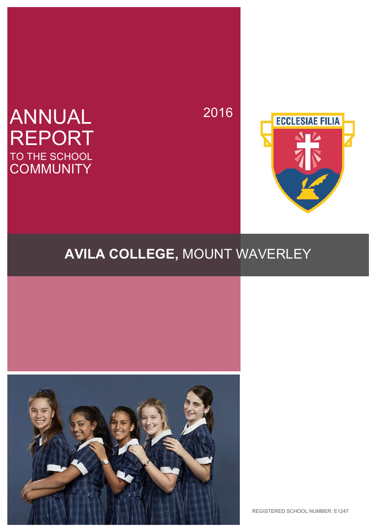# ANNUAL REPORT TO THE SCHOOL **COMMUNITY**

2016



# **AVILA COLLEGE,** MOUNT WAVERLEY



REGISTERED SCHOOL NUMBER: E1247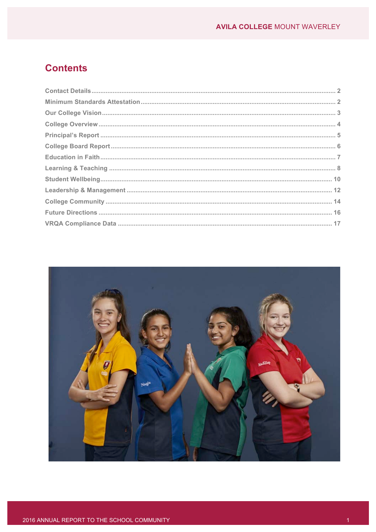# **Contents**

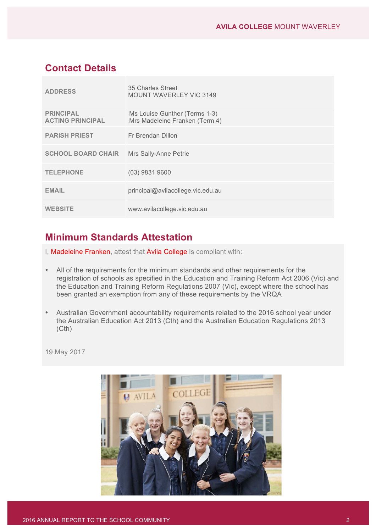# **Contact Details**

| <b>ADDRESS</b>                              | 35 Charles Street<br><b>MOUNT WAVERLEY VIC 3149</b>             |
|---------------------------------------------|-----------------------------------------------------------------|
| <b>PRINCIPAL</b><br><b>ACTING PRINCIPAL</b> | Ms Louise Gunther (Terms 1-3)<br>Mrs Madeleine Franken (Term 4) |
| <b>PARISH PRIEST</b>                        | Fr Brendan Dillon                                               |
| <b>SCHOOL BOARD CHAIR</b>                   | Mrs Sally-Anne Petrie                                           |
| <b>TELEPHONE</b>                            | $(03)$ 9831 9600                                                |
| <b>EMAIL</b>                                | principal@avilacollege.vic.edu.au                               |
| <b>WEBSITE</b>                              | www.avilacollege.vic.edu.au                                     |

# **Minimum Standards Attestation**

- I, Madeleine Franken, attest that Avila College is compliant with:
- All of the requirements for the minimum standards and other requirements for the registration of schools as specified in the Education and Training Reform Act 2006 (Vic) and the Education and Training Reform Regulations 2007 (Vic), except where the school has been granted an exemption from any of these requirements by the VRQA
- Australian Government accountability requirements related to the 2016 school year under the Australian Education Act 2013 (Cth) and the Australian Education Regulations 2013 (Cth)

19 May 2017

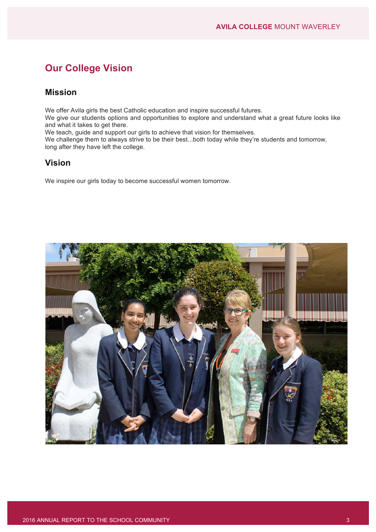# **Our College Vision**

# **Mission**

We offer Avila girls the best Catholic education and inspire successful futures.

We give our students options and opportunities to explore and understand what a great future looks like and what it takes to get there.

We teach, guide and support our girls to achieve that vision for themselves.

We challenge them to always strive to be their best...both today while they're students and tomorrow, long after they have left the college.

# **Vision**

We inspire our girls today to become successful women tomorrow.

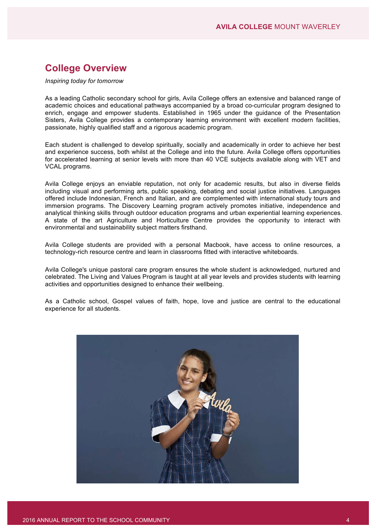# **College Overview**

*Inspiring today for tomorrow*

As a leading Catholic secondary school for girls, Avila College offers an extensive and balanced range of academic choices and educational pathways accompanied by a broad co-curricular program designed to enrich, engage and empower students. Established in 1965 under the guidance of the Presentation Sisters, Avila College provides a contemporary learning environment with excellent modern facilities, passionate, highly qualified staff and a rigorous academic program.

Each student is challenged to develop spiritually, socially and academically in order to achieve her best and experience success, both whilst at the College and into the future. Avila College offers opportunities for accelerated learning at senior levels with more than 40 VCE subjects available along with VET and VCAL programs.

Avila College enjoys an enviable reputation, not only for academic results, but also in diverse fields including visual and performing arts, public speaking, debating and social justice initiatives. Languages offered include Indonesian, French and Italian, and are complemented with international study tours and immersion programs. The Discovery Learning program actively promotes initiative, independence and analytical thinking skills through outdoor education programs and urban experiential learning experiences. A state of the art Agriculture and Horticulture Centre provides the opportunity to interact with environmental and sustainability subject matters firsthand.

Avila College students are provided with a personal Macbook, have access to online resources, a technology-rich resource centre and learn in classrooms fitted with interactive whiteboards.

Avila College's unique pastoral care program ensures the whole student is acknowledged, nurtured and celebrated. The Living and Values Program is taught at all year levels and provides students with learning activities and opportunities designed to enhance their wellbeing.

As a Catholic school, Gospel values of faith, hope, love and justice are central to the educational experience for all students.

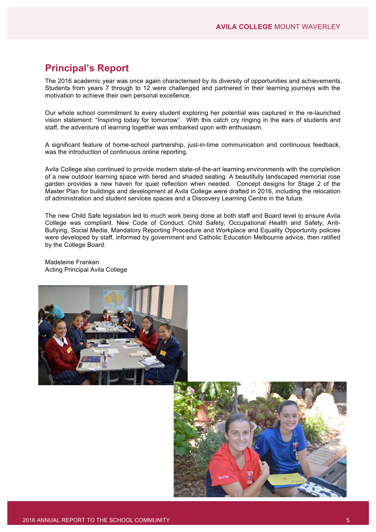# **Principal's Report**

The 2016 academic year was once again characterised by its diversity of opportunities and achievements. Students from years 7 through to 12 were challenged and partnered in their learning journeys with the motivation to achieve their own personal excellence.

Our whole school commitment to every student exploring her potential was captured in the re-launched vision statement: "Inspiring today for tomorrow". With this catch cry ringing in the ears of students and staff, the adventure of learning together was embarked upon with enthusiasm.

A significant feature of home-school partnership, just-in-time communication and continuous feedback, was the introduction of continuous online reporting.

Avila College also continued to provide modern state-of-the-art learning environments with the completion of a new outdoor learning space with tiered and shaded seating. A beautifully landscaped memorial rose garden provides a new haven for quiet reflection when needed. Concept designs for Stage 2 of the Master Plan for buildings and development at Avila College were drafted in 2016, including the relocation of administration and student services spaces and a Discovery Learning Centre in the future.

The new Child Safe legislation led to much work being done at both staff and Board level to ensure Avila College was compliant. New Code of Conduct, Child Safety, Occupational Health and Safety, Anti-Bullying, Social Media, Mandatory Reporting Procedure and Workplace and Equality Opportunity policies were developed by staff, informed by government and Catholic Education Melbourne advice, then ratified by the College Board.

Madeleine Franken Acting Principal Avila College



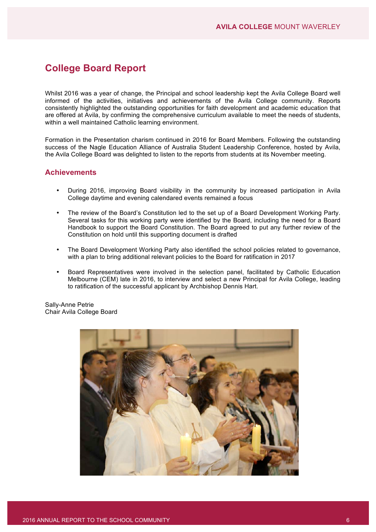# **College Board Report**

Whilst 2016 was a year of change, the Principal and school leadership kept the Avila College Board well informed of the activities, initiatives and achievements of the Avila College community. Reports consistently highlighted the outstanding opportunities for faith development and academic education that are offered at Avila, by confirming the comprehensive curriculum available to meet the needs of students, within a well maintained Catholic learning environment.

Formation in the Presentation charism continued in 2016 for Board Members. Following the outstanding success of the Nagle Education Alliance of Australia Student Leadership Conference, hosted by Avila, the Avila College Board was delighted to listen to the reports from students at its November meeting.

# **Achievements**

- During 2016, improving Board visibility in the community by increased participation in Avila College daytime and evening calendared events remained a focus
- The review of the Board's Constitution led to the set up of a Board Development Working Party. Several tasks for this working party were identified by the Board, including the need for a Board Handbook to support the Board Constitution. The Board agreed to put any further review of the Constitution on hold until this supporting document is drafted
- The Board Development Working Party also identified the school policies related to governance, with a plan to bring additional relevant policies to the Board for ratification in 2017
- Board Representatives were involved in the selection panel, facilitated by Catholic Education Melbourne (CEM) late in 2016, to interview and select a new Principal for Avila College, leading to ratification of the successful applicant by Archbishop Dennis Hart.

Sally-Anne Petrie Chair Avila College Board

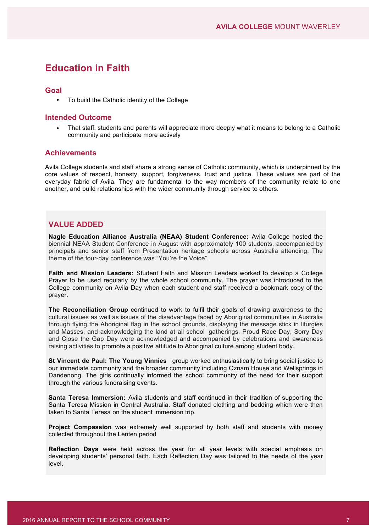# **Education in Faith**

#### **Goal**

• To build the Catholic identity of the College

#### **Intended Outcome**

• That staff, students and parents will appreciate more deeply what it means to belong to a Catholic community and participate more actively

#### **Achievements**

Avila College students and staff share a strong sense of Catholic community, which is underpinned by the core values of respect, honesty, support, forgiveness, trust and justice. These values are part of the everyday fabric of Avila. They are fundamental to the way members of the community relate to one another, and build relationships with the wider community through service to others.

# **VALUE ADDED**

**Nagle Education Alliance Australia (NEAA) Student Conference:** Avila College hosted the biennial NEAA Student Conference in August with approximately 100 students, accompanied by principals and senior staff from Presentation heritage schools across Australia attending. The theme of the four-day conference was "You're the Voice".

**Faith and Mission Leaders:** Student Faith and Mission Leaders worked to develop a College Prayer to be used regularly by the whole school community. The prayer was introduced to the College community on Avila Day when each student and staff received a bookmark copy of the prayer.

**The Reconciliation Group** continued to work to fulfil their goals of drawing awareness to the cultural issues as well as issues of the disadvantage faced by Aboriginal communities in Australia through flying the Aboriginal flag in the school grounds, displaying the message stick in liturgies and Masses, and acknowledging the land at all school gatherings. Proud Race Day, Sorry Day and Close the Gap Day were acknowledged and accompanied by celebrations and awareness raising activities to promote a positive attitude to Aboriginal culture among student body.

**St Vincent de Paul: The Young Vinnies** group worked enthusiastically to bring social justice to our immediate community and the broader community including Oznam House and Wellsprings in Dandenong. The girls continually informed the school community of the need for their support through the various fundraising events.

**Santa Teresa Immersion:** Avila students and staff continued in their tradition of supporting the Santa Teresa Mission in Central Australia. Staff donated clothing and bedding which were then taken to Santa Teresa on the student immersion trip.

**Project Compassion** was extremely well supported by both staff and students with money collected throughout the Lenten period

**Reflection Days** were held across the year for all year levels with special emphasis on developing students' personal faith. Each Reflection Day was tailored to the needs of the year level.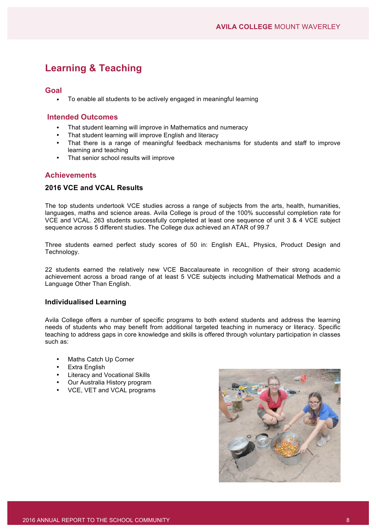# **Learning & Teaching**

### **Goal**

• To enable all students to be actively engaged in meaningful learning

# **Intended Outcomes**

- That student learning will improve in Mathematics and numeracy
- That student learning will improve English and literacy
- That there is a range of meaningful feedback mechanisms for students and staff to improve learning and teaching
- That senior school results will improve

# **Achievements**

### **2016 VCE and VCAL Results**

The top students undertook VCE studies across a range of subjects from the arts, health, humanities, languages, maths and science areas. Avila College is proud of the 100% successful completion rate for VCE and VCAL. 263 students successfully completed at least one sequence of unit 3 & 4 VCE subject sequence across 5 different studies. The College dux achieved an ATAR of 99.7

Three students earned perfect study scores of 50 in: English EAL, Physics, Product Design and Technology.

22 students earned the relatively new VCE Baccalaureate in recognition of their strong academic achievement across a broad range of at least 5 VCE subjects including Mathematical Methods and a Language Other Than English.

#### **Individualised Learning**

Avila College offers a number of specific programs to both extend students and address the learning needs of students who may benefit from additional targeted teaching in numeracy or literacy. Specific teaching to address gaps in core knowledge and skills is offered through voluntary participation in classes such as:

- Maths Catch Up Corner
- Extra English
- Literacy and Vocational Skills
- Our Australia History program
- VCE, VET and VCAL programs

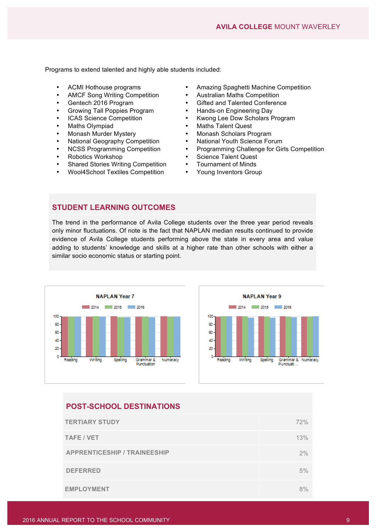Programs to extend talented and highly able students included:

- 
- AMCF Song Writing Competition •
- 
- Growing Tall Poppies Program **•** Hands-on Engineering Day<br>ICAS Science Competition **•** Kwong Lee Dow Scholars F
- 
- 
- 
- **National Geography Competition <br>NGSS Programming Competition •**
- 
- 
- Robotics Workshop Science Talent Quest • Shared Stories Writing Competition • Tournament of Minds
- Wool4School Textiles Competition Young Inventors Group
- ACMI Hothouse programs<br>
Amazing Spaghetti Machine Competition<br>
AMCF Song Writing Competition<br>
Australian Maths Competition
	-
- Gentech 2016 Program Gifted and Talented Conference
	-
- ICAS Science Competition Kwong Lee Dow Scholars Program
- Maths Olympiad Maths Talent Quest
	- Monash Murder Mystery Monash Scholars Program
		-
- NCSS Programming Competition Programming Challenge for Girls Competition<br>• Robotics Workshop Science Talent Quest
	-
	-
	-

# **STUDENT LEARNING OUTCOMES**

The trend in the performance of Avila College students over the three year period reveals only minor fluctuations. Of note is the fact that NAPLAN median results continued to provide evidence of Avila College students performing above the state in every area and value adding to students' knowledge and skills at a higher rate than other schools with either a similar socio economic status or starting point.





# **POST-SCHOOL DESTINATIONS**

| <b>TERTIARY STUDY</b>               | 72% |
|-------------------------------------|-----|
| <b>TAFE / VET</b>                   | 13% |
| <b>APPRENTICESHIP / TRAINEESHIP</b> | 2%  |
| <b>DEFERRED</b>                     | 5%  |
| <b>EMPLOYMENT</b>                   | 8%  |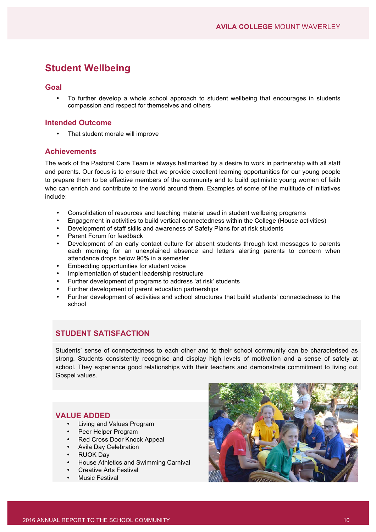# **Student Wellbeing**

### **Goal**

• To further develop a whole school approach to student wellbeing that encourages in students compassion and respect for themselves and others

### **Intended Outcome**

• That student morale will improve

# **Achievements**

The work of the Pastoral Care Team is always hallmarked by a desire to work in partnership with all staff and parents. Our focus is to ensure that we provide excellent learning opportunities for our young people to prepare them to be effective members of the community and to build optimistic young women of faith who can enrich and contribute to the world around them. Examples of some of the multitude of initiatives include:

- Consolidation of resources and teaching material used in student wellbeing programs
- Engagement in activities to build vertical connectedness within the College (House activities)
- Development of staff skills and awareness of Safety Plans for at risk students
- Parent Forum for feedback
- Development of an early contact culture for absent students through text messages to parents each morning for an unexplained absence and letters alerting parents to concern when attendance drops below 90% in a semester
- Embedding opportunities for student voice
- Implementation of student leadership restructure
- Further development of programs to address 'at risk' students
- Further development of parent education partnerships
- Further development of activities and school structures that build students' connectedness to the school

# **STUDENT SATISFACTION**

Students' sense of connectedness to each other and to their school community can be characterised as strong. Students consistently recognise and display high levels of motivation and a sense of safety at school. They experience good relationships with their teachers and demonstrate commitment to living out Gospel values.

# **VALUE ADDED**

- Living and Values Program
- Peer Helper Program
- Red Cross Door Knock Appeal
- Avila Day Celebration
- RUOK Day
- House Athletics and Swimming Carnival
- Creative Arts Festival
- Music Festival

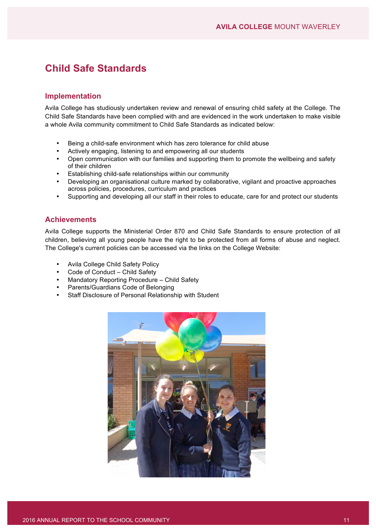# **Child Safe Standards**

### **Implementation**

Avila College has studiously undertaken review and renewal of ensuring child safety at the College. The Child Safe Standards have been complied with and are evidenced in the work undertaken to make visible a whole Avila community commitment to Child Safe Standards as indicated below:

- Being a child-safe environment which has zero tolerance for child abuse
- Actively engaging, listening to and empowering all our students
- Open communication with our families and supporting them to promote the wellbeing and safety of their children
- Establishing child-safe relationships within our community
- Developing an organisational culture marked by collaborative, vigilant and proactive approaches across policies, procedures, curriculum and practices
- Supporting and developing all our staff in their roles to educate, care for and protect our students

# **Achievements**

Avila College supports the Ministerial Order 870 and Child Safe Standards to ensure protection of all children, believing all young people have the right to be protected from all forms of abuse and neglect. The College's current policies can be accessed via the links on the College Website:

- Avila College Child Safety Policy
- Code of Conduct Child Safety
- Mandatory Reporting Procedure Child Safety
- Parents/Guardians Code of Belonging
- Staff Disclosure of Personal Relationship with Student

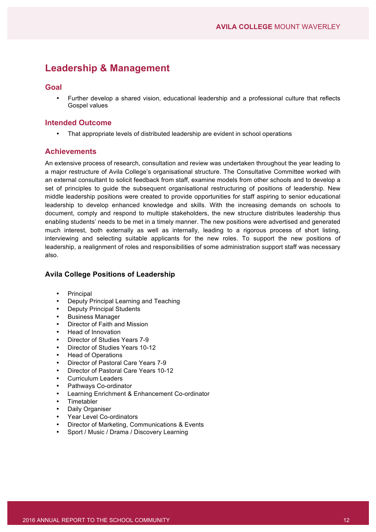# **Leadership & Management**

### **Goal**

• Further develop a shared vision, educational leadership and a professional culture that reflects Gospel values

### **Intended Outcome**

• That appropriate levels of distributed leadership are evident in school operations

# **Achievements**

An extensive process of research, consultation and review was undertaken throughout the year leading to a major restructure of Avila College's organisational structure. The Consultative Committee worked with an external consultant to solicit feedback from staff, examine models from other schools and to develop a set of principles to guide the subsequent organisational restructuring of positions of leadership. New middle leadership positions were created to provide opportunities for staff aspiring to senior educational leadership to develop enhanced knowledge and skills. With the increasing demands on schools to document, comply and respond to multiple stakeholders, the new structure distributes leadership thus enabling students' needs to be met in a timely manner. The new positions were advertised and generated much interest, both externally as well as internally, leading to a rigorous process of short listing, interviewing and selecting suitable applicants for the new roles. To support the new positions of leadership, a realignment of roles and responsibilities of some administration support staff was necessary also.

#### **Avila College Positions of Leadership**

- **Principal**
- Deputy Principal Learning and Teaching
- Deputy Principal Students
- Business Manager
- Director of Faith and Mission
- Head of Innovation
- Director of Studies Years 7-9
- Director of Studies Years 10-12
- Head of Operations
- Director of Pastoral Care Years 7-9
- Director of Pastoral Care Years 10-12
- Curriculum Leaders
- Pathways Co-ordinator
- Learning Enrichment & Enhancement Co-ordinator
- **Timetabler**
- Daily Organiser
- Year Level Co-ordinators
- Director of Marketing, Communications & Events
- Sport / Music / Drama / Discovery Learning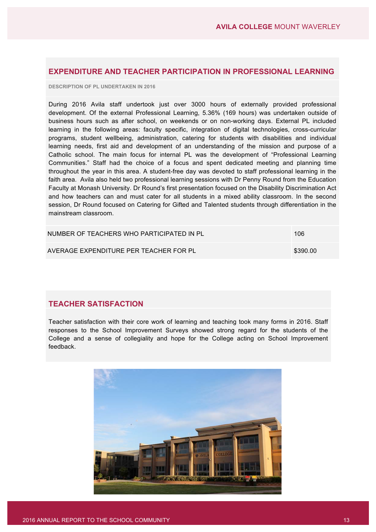# **EXPENDITURE AND TEACHER PARTICIPATION IN PROFESSIONAL LEARNING**

**DESCRIPTION OF PL UNDERTAKEN IN 2016**

During 2016 Avila staff undertook just over 3000 hours of externally provided professional development. Of the external Professional Learning, 5.36% (169 hours) was undertaken outside of business hours such as after school, on weekends or on non-working days. External PL included learning in the following areas: faculty specific, integration of digital technologies, cross-curricular programs, student wellbeing, administration, catering for students with disabilities and individual learning needs, first aid and development of an understanding of the mission and purpose of a Catholic school. The main focus for internal PL was the development of "Professional Learning Communities." Staff had the choice of a focus and spent dedicated meeting and planning time throughout the year in this area. A student-free day was devoted to staff professional learning in the faith area. Avila also held two professional learning sessions with Dr Penny Round from the Education Faculty at Monash University. Dr Round's first presentation focused on the Disability Discrimination Act and how teachers can and must cater for all students in a mixed ability classroom. In the second session, Dr Round focused on Catering for Gifted and Talented students through differentiation in the mainstream classroom.

| NUMBER OF TEACHERS WHO PARTICIPATED IN PL | 106      |
|-------------------------------------------|----------|
| AVERAGE EXPENDITURE PER TEACHER FOR PL    | \$390.00 |

# **TEACHER SATISFACTION**

Teacher satisfaction with their core work of learning and teaching took many forms in 2016. Staff responses to the School Improvement Surveys showed strong regard for the students of the College and a sense of collegiality and hope for the College acting on School Improvement feedback.

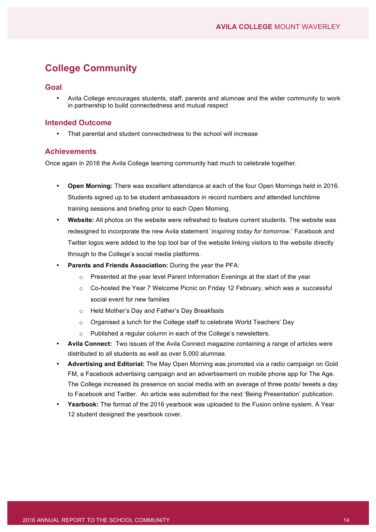# **College Community**

### **Goal**

• Avila College encourages students, staff, parents and alumnae and the wider community to work in partnership to build connectedness and mutual respect

### **Intended Outcome**

• That parental and student connectedness to the school will increase

# **Achievements**

Once again in 2016 the Avila College learning community had much to celebrate together.

- **Open Morning:** There was excellent attendance at each of the four Open Mornings held in 2016. Students signed up to be student ambassadors in record numbers *and* attended lunchtime training sessions and briefing prior to each Open Morning.
- **Website:** All photos on the website were refreshed to feature current students. The website was redesigned to incorporate the new Avila statement '*inspiring today for tomorrow*.' Facebook and Twitter logos were added to the top tool bar of the website linking visitors to the website directly through to the College's social media platforms.
- **Parents and Friends Association:** During the year the PFA:
	- $\circ$  Presented at the year level Parent Information Evenings at the start of the year
	- $\circ$  Co-hosted the Year 7 Welcome Picnic on Friday 12 February, which was a successful social event for new families
	- o Held Mother's Day and Father's Day Breakfasts
	- o Organised a lunch for the College staff to celebrate World Teachers' Day
	- o Published a regular column in each of the College's newsletters.
- **Avila Connect:** Two issues of the Avila Connect magazine containing a range of articles were distributed to all students as well as over 5,000 alumnae.
- **Advertising and Editorial:** The May Open Morning was promoted via a radio campaign on Gold FM, a Facebook advertising campaign and an advertisement on mobile phone app for The Age. The College increased its presence on social media with an average of three posts/ tweets a day to Facebook and Twitter. An article was submitted for the next 'Being Presentation' publication.
- **Yearbook:** The format of the 2016 yearbook was uploaded to the Fusion online system. A Year 12 student designed the yearbook cover.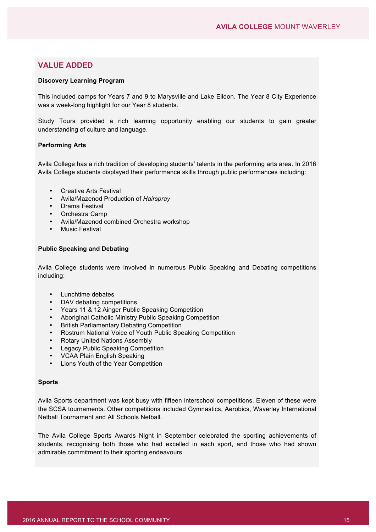# **VALUE ADDED**

#### **Discovery Learning Program**

This included camps for Years 7 and 9 to Marysville and Lake Eildon. The Year 8 City Experience was a week-long highlight for our Year 8 students.

Study Tours provided a rich learning opportunity enabling our students to gain greater understanding of culture and language.

#### **Performing Arts**

Avila College has a rich tradition of developing students' talents in the performing arts area. In 2016 Avila College students displayed their performance skills through public performances including:

- Creative Arts Festival
- Avila/Mazenod Production of *Hairspray*
- Drama Festival
- Orchestra Camp
- Avila/Mazenod combined Orchestra workshop
- **Music Festival**

#### **Public Speaking and Debating**

Avila College students were involved in numerous Public Speaking and Debating competitions including:

- Lunchtime debates
- DAV debating competitions
- Years 11 & 12 Ainger Public Speaking Competition
- Aboriginal Catholic Ministry Public Speaking Competition
- British Parliamentary Debating Competition
- Rostrum National Voice of Youth Public Speaking Competition
- Rotary United Nations Assembly
- Legacy Public Speaking Competition
- VCAA Plain English Speaking
- Lions Youth of the Year Competition

#### **Sports**

Avila Sports department was kept busy with fifteen interschool competitions. Eleven of these were the SCSA tournaments. Other competitions included Gymnastics, Aerobics, Waverley International Netball Tournament and All Schools Netball.

The Avila College Sports Awards Night in September celebrated the sporting achievements of students, recognising both those who had excelled in each sport, and those who had shown admirable commitment to their sporting endeavours.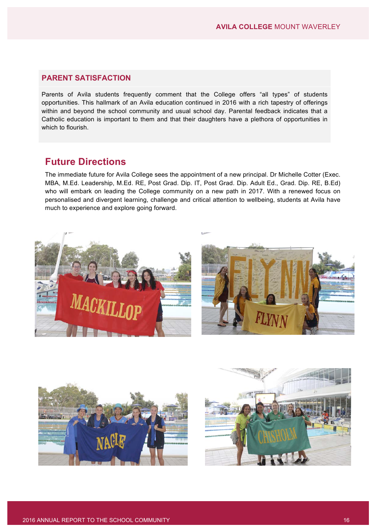# **PARENT SATISFACTION**

Parents of Avila students frequently comment that the College offers "all types" of students opportunities. This hallmark of an Avila education continued in 2016 with a rich tapestry of offerings within and beyond the school community and usual school day. Parental feedback indicates that a Catholic education is important to them and that their daughters have a plethora of opportunities in which to flourish.

# **Future Directions**

The immediate future for Avila College sees the appointment of a new principal. Dr Michelle Cotter (Exec. MBA, M.Ed. Leadership, M.Ed. RE, Post Grad. Dip. IT, Post Grad. Dip. Adult Ed., Grad. Dip. RE, B.Ed) who will embark on leading the College community on a new path in 2017. With a renewed focus on personalised and divergent learning, challenge and critical attention to wellbeing, students at Avila have much to experience and explore going forward.





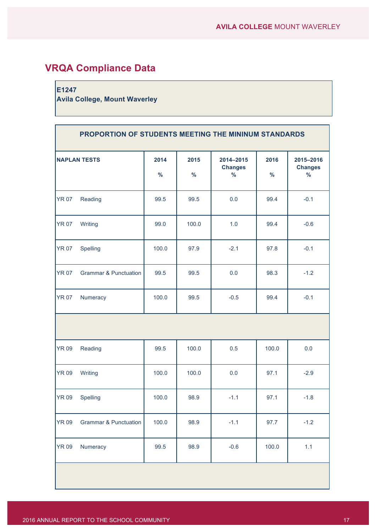# **VRQA Compliance Data**

# **E1247**

**Avila College, Mount Waverley**

| PROPORTION OF STUDENTS MEETING THE MININUM STANDARDS |                                  |                       |                       |                                              |                       |                                              |
|------------------------------------------------------|----------------------------------|-----------------------|-----------------------|----------------------------------------------|-----------------------|----------------------------------------------|
|                                                      | <b>NAPLAN TESTS</b>              | 2014<br>$\frac{9}{6}$ | 2015<br>$\frac{9}{6}$ | 2014-2015<br><b>Changes</b><br>$\frac{9}{6}$ | 2016<br>$\frac{9}{6}$ | 2015-2016<br><b>Changes</b><br>$\frac{9}{6}$ |
| <b>YR 07</b>                                         | Reading                          | 99.5                  | 99.5                  | 0.0                                          | 99.4                  | $-0.1$                                       |
| <b>YR 07</b>                                         | Writing                          | 99.0                  | 100.0                 | 1.0                                          | 99.4                  | $-0.6$                                       |
| <b>YR 07</b>                                         | Spelling                         | 100.0                 | 97.9                  | $-2.1$                                       | 97.8                  | $-0.1$                                       |
| <b>YR 07</b>                                         | <b>Grammar &amp; Punctuation</b> | 99.5                  | 99.5                  | 0.0                                          | 98.3                  | $-1.2$                                       |
| <b>YR 07</b>                                         | Numeracy                         | 100.0                 | 99.5                  | $-0.5$                                       | 99.4                  | $-0.1$                                       |
|                                                      |                                  |                       |                       |                                              |                       |                                              |
| <b>YR 09</b>                                         | Reading                          | 99.5                  | 100.0                 | 0.5                                          | 100.0                 | 0.0                                          |
| <b>YR 09</b>                                         | Writing                          | 100.0                 | 100.0                 | 0.0                                          | 97.1                  | $-2.9$                                       |
| <b>YR 09</b>                                         | Spelling                         | 100.0                 | 98.9                  | $-1.1$                                       | 97.1                  | $-1.8$                                       |
| <b>YR 09</b>                                         | <b>Grammar &amp; Punctuation</b> | 100.0                 | 98.9                  | $-1.1$                                       | 97.7                  | $-1.2$                                       |
| <b>YR 09</b>                                         | Numeracy                         | 99.5                  | 98.9                  | $-0.6$                                       | 100.0                 | 1.1                                          |
|                                                      |                                  |                       |                       |                                              |                       |                                              |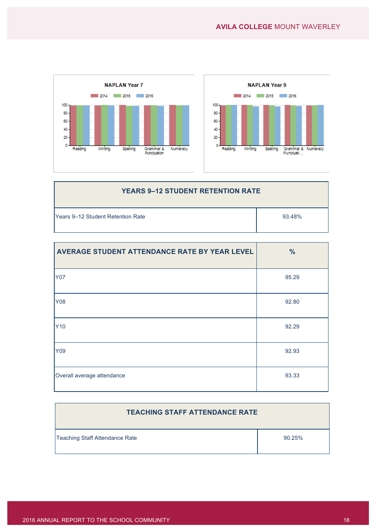



| <b>YEARS 9-12 STUDENT RETENTION RATE</b>   |        |  |
|--------------------------------------------|--------|--|
| <b>T</b> Years 9–12 Student Retention Rate | 93.48% |  |

| AVERAGE STUDENT ATTENDANCE RATE BY YEAR LEVEL | $\frac{0}{0}$ |
|-----------------------------------------------|---------------|
| <b>Y07</b>                                    | 95.29         |
| Y08                                           | 92.80         |
| Y10                                           | 92.29         |
| Y09                                           | 92.93         |
| Overall average attendance                    | 93.33         |

| <b>TEACHING STAFF ATTENDANCE RATE</b> |        |
|---------------------------------------|--------|
| Teaching Staff Attendance Rate        | 90.25% |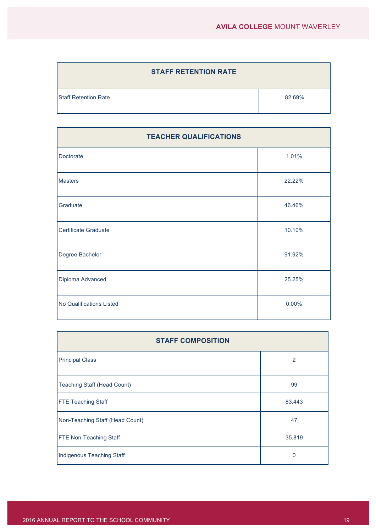| <b>STAFF RETENTION RATE</b> |        |
|-----------------------------|--------|
| <b>Staff Retention Rate</b> | 82.69% |

| <b>TEACHER QUALIFICATIONS</b> |        |  |
|-------------------------------|--------|--|
| Doctorate                     | 1.01%  |  |
| <b>Masters</b>                | 22.22% |  |
| Graduate                      | 46.46% |  |
| Certificate Graduate          | 10.10% |  |
| Degree Bachelor               | 91.92% |  |
| Diploma Advanced              | 25.25% |  |
| No Qualifications Listed      | 0.00%  |  |

| <b>STAFF COMPOSITION</b>        |        |  |
|---------------------------------|--------|--|
| <b>Principal Class</b>          | 2      |  |
| Teaching Staff (Head Count)     | 99     |  |
| <b>FTE Teaching Staff</b>       | 83.443 |  |
| Non-Teaching Staff (Head Count) | 47     |  |
| <b>FTE Non-Teaching Staff</b>   | 35.819 |  |
| Indigenous Teaching Staff       | 0      |  |